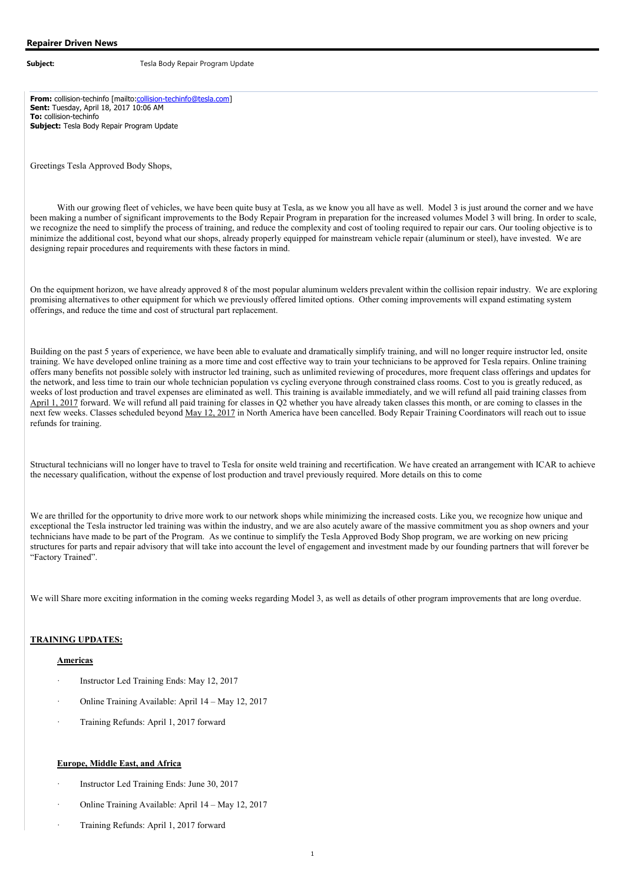**From:** collision-techinfo [mailto:collision-techinfo@tesla.com] **Sent:** Tuesday, April 18, 2017 10:06 AM **To:** collision-techinfo **Subject:** Tesla Body Repair Program Update

Greetings Tesla Approved Body Shops,

With our growing fleet of vehicles, we have been quite busy at Tesla, as we know you all have as well. Model 3 is just around the corner and we have been making a number of significant improvements to the Body Repair Program in preparation for the increased volumes Model 3 will bring. In order to scale, we recognize the need to simplify the process of training, and reduce the complexity and cost of tooling required to repair our cars. Our tooling objective is to minimize the additional cost, beyond what our shops, already properly equipped for mainstream vehicle repair (aluminum or steel), have invested. We are designing repair procedures and requirements with these factors in mind.

On the equipment horizon, we have already approved 8 of the most popular aluminum welders prevalent within the collision repair industry. We are exploring promising alternatives to other equipment for which we previously offered limited options. Other coming improvements will expand estimating system offerings, and reduce the time and cost of structural part replacement.

Building on the past 5 years of experience, we have been able to evaluate and dramatically simplify training, and will no longer require instructor led, onsite training. We have developed online training as a more time and cost effective way to train your technicians to be approved for Tesla repairs. Online training offers many benefits not possible solely with instructor led training, such as unlimited reviewing of procedures, more frequent class offerings and updates for the network, and less time to train our whole technician population vs cycling everyone through constrained class rooms. Cost to you is greatly reduced, as weeks of lost production and travel expenses are eliminated as well. This training is available immediately, and we will refund all paid training classes from April 1, 2017 forward. We will refund all paid training for classes in Q2 whether you have already taken classes this month, or are coming to classes in the next few weeks. Classes scheduled beyond May 12, 2017 in North America have been cancelled. Body Repair Training Coordinators will reach out to issue refunds for training.

Structural technicians will no longer have to travel to Tesla for onsite weld training and recertification. We have created an arrangement with ICAR to achieve the necessary qualification, without the expense of lost production and travel previously required. More details on this to come

We are thrilled for the opportunity to drive more work to our network shops while minimizing the increased costs. Like you, we recognize how unique and exceptional the Tesla instructor led training was within the industry, and we are also acutely aware of the massive commitment you as shop owners and your technicians have made to be part of the Program. As we continue to simplify the Tesla Approved Body Shop program, we are working on new pricing structures for parts and repair advisory that will take into account the level of engagement and investment made by our founding partners that will forever be "Factory Trained".

We will Share more exciting information in the coming weeks regarding Model 3, as well as details of other program improvements that are long overdue.

#### **TRAINING UPDATES:**

#### **Americas**

- Instructor Led Training Ends: May 12, 2017
- · Online Training Available: April 14 May 12, 2017
- · Training Refunds: April 1, 2017 forward

#### **Europe, Middle East, and Africa**

- Instructor Led Training Ends: June 30, 2017
- · Online Training Available: April 14 May 12, 2017
- · Training Refunds: April 1, 2017 forward